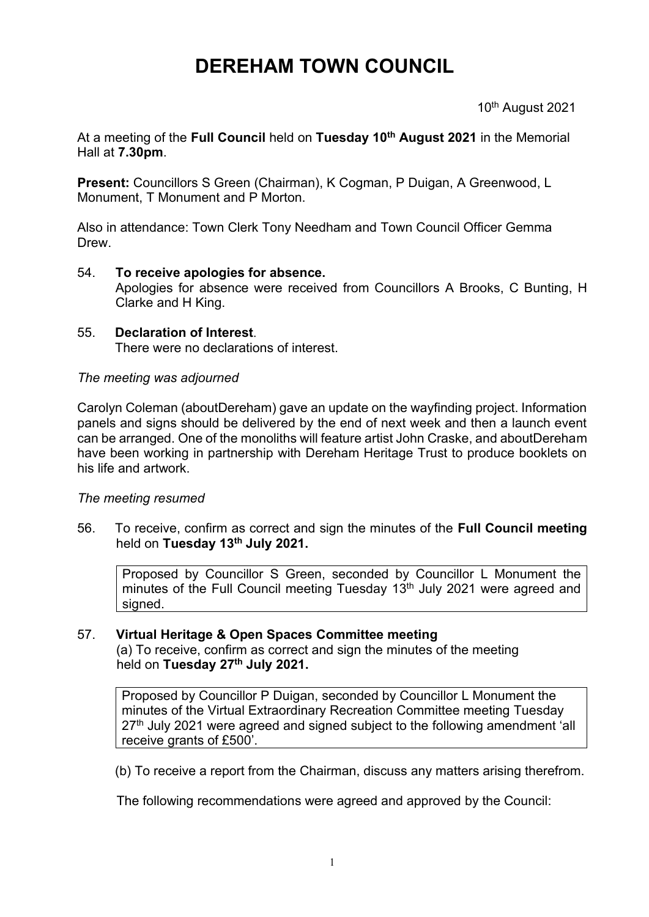# **DEREHAM TOWN COUNCIL**

10th August 2021

At a meeting of the **Full Council** held on **Tuesday 10th August 2021** in the Memorial Hall at **7.30pm**.

**Present:** Councillors S Green (Chairman), K Cogman, P Duigan, A Greenwood, L Monument, T Monument and P Morton.

Also in attendance: Town Clerk Tony Needham and Town Council Officer Gemma Drew.

### 54. **To receive apologies for absence.**

Apologies for absence were received from Councillors A Brooks, C Bunting, H Clarke and H King.

#### 55. **Declaration of Interest**. There were no declarations of interest.

### *The meeting was adjourned*

Carolyn Coleman (aboutDereham) gave an update on the wayfinding project. Information panels and signs should be delivered by the end of next week and then a launch event can be arranged. One of the monoliths will feature artist John Craske, and aboutDereham have been working in partnership with Dereham Heritage Trust to produce booklets on his life and artwork.

## *The meeting resumed*

56. To receive, confirm as correct and sign the minutes of the **Full Council meeting** held on **Tuesday 13th July 2021.**

Proposed by Councillor S Green, seconded by Councillor L Monument the minutes of the Full Council meeting Tuesday 13<sup>th</sup> July 2021 were agreed and signed.

## 57. **Virtual Heritage & Open Spaces Committee meeting**

(a) To receive, confirm as correct and sign the minutes of the meeting held on **Tuesday 27th July 2021.**

Proposed by Councillor P Duigan, seconded by Councillor L Monument the minutes of the Virtual Extraordinary Recreation Committee meeting Tuesday 27<sup>th</sup> July 2021 were agreed and signed subject to the following amendment 'all receive grants of £500'.

(b) To receive a report from the Chairman, discuss any matters arising therefrom.

The following recommendations were agreed and approved by the Council: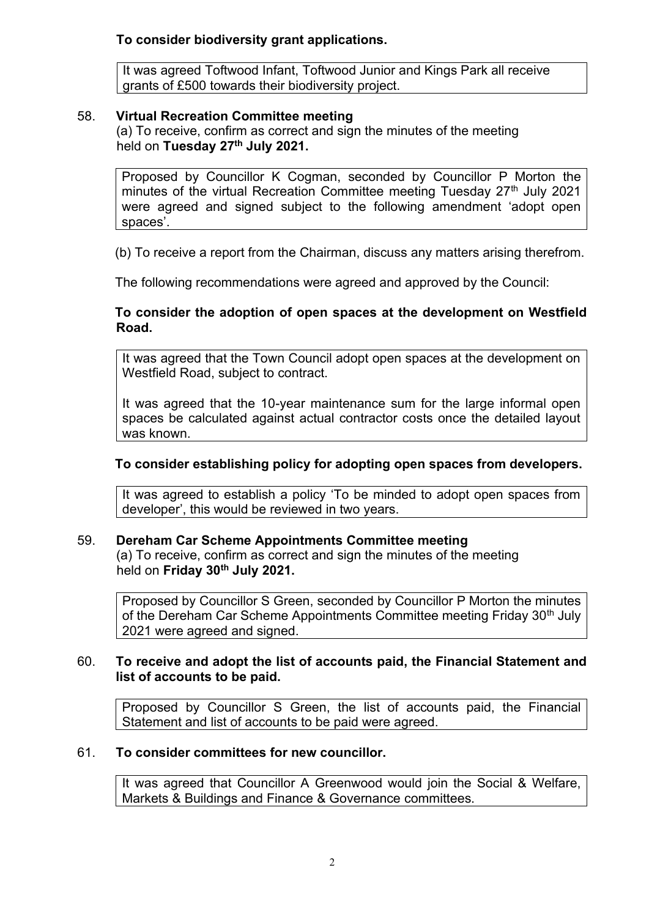## **To consider biodiversity grant applications.**

It was agreed Toftwood Infant, Toftwood Junior and Kings Park all receive grants of £500 towards their biodiversity project.

### 58. **Virtual Recreation Committee meeting**

(a) To receive, confirm as correct and sign the minutes of the meeting held on **Tuesday 27th July 2021.**

Proposed by Councillor K Cogman, seconded by Councillor P Morton the minutes of the virtual Recreation Committee meeting Tuesday 27<sup>th</sup> July 2021 were agreed and signed subject to the following amendment 'adopt open spaces'.

(b) To receive a report from the Chairman, discuss any matters arising therefrom.

The following recommendations were agreed and approved by the Council:

## **To consider the adoption of open spaces at the development on Westfield Road.**

It was agreed that the Town Council adopt open spaces at the development on Westfield Road, subject to contract.

It was agreed that the 10-year maintenance sum for the large informal open spaces be calculated against actual contractor costs once the detailed layout was known.

## **To consider establishing policy for adopting open spaces from developers.**

It was agreed to establish a policy 'To be minded to adopt open spaces from developer', this would be reviewed in two years.

## 59. **Dereham Car Scheme Appointments Committee meeting**

(a) To receive, confirm as correct and sign the minutes of the meeting held on **Friday 30th July 2021.**

Proposed by Councillor S Green, seconded by Councillor P Morton the minutes of the Dereham Car Scheme Appointments Committee meeting Friday 30<sup>th</sup> July 2021 were agreed and signed.

### 60. **To receive and adopt the list of accounts paid, the Financial Statement and list of accounts to be paid.**

Proposed by Councillor S Green, the list of accounts paid, the Financial Statement and list of accounts to be paid were agreed.

## 61. **To consider committees for new councillor.**

It was agreed that Councillor A Greenwood would join the Social & Welfare, Markets & Buildings and Finance & Governance committees.